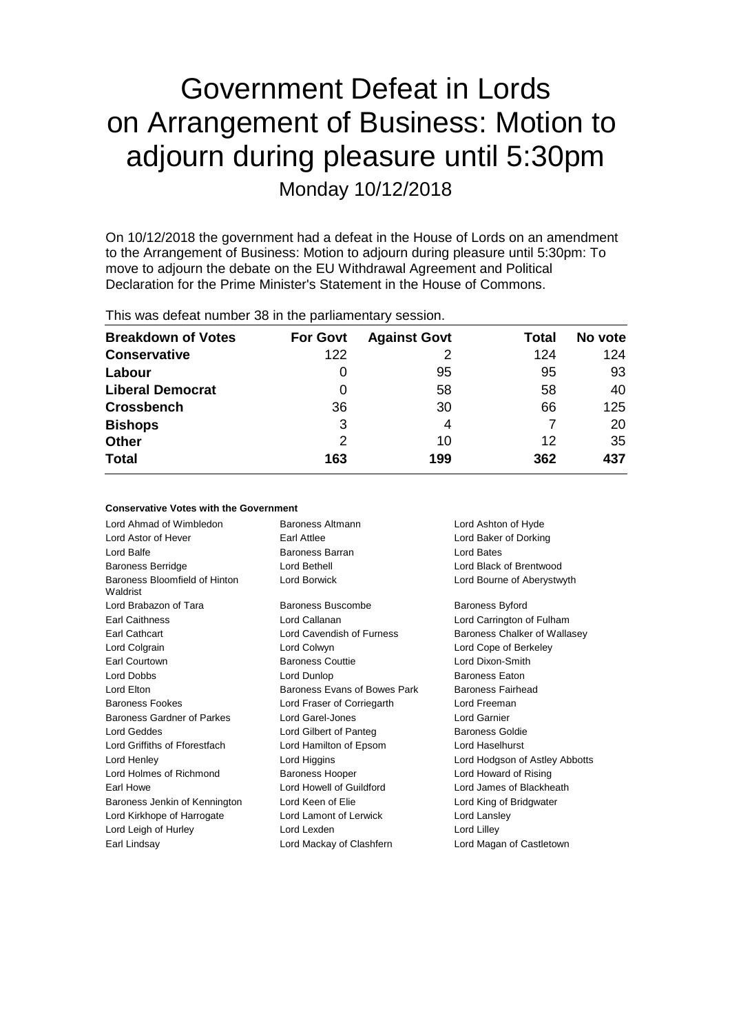# Government Defeat in Lords on Arrangement of Business: Motion to adjourn during pleasure until 5:30pm Monday 10/12/2018

On 10/12/2018 the government had a defeat in the House of Lords on an amendment to the Arrangement of Business: Motion to adjourn during pleasure until 5:30pm: To move to adjourn the debate on the EU Withdrawal Agreement and Political Declaration for the Prime Minister's Statement in the House of Commons.

This was defeat number 38 in the parliamentary session.

| <b>Breakdown of Votes</b> | <b>For Govt</b> | <b>Against Govt</b> | Total | No vote |
|---------------------------|-----------------|---------------------|-------|---------|
| <b>Conservative</b>       | 122             |                     | 124   | 124     |
| Labour                    | 0               | 95                  | 95    | 93      |
| <b>Liberal Democrat</b>   | 0               | 58                  | 58    | 40      |
| <b>Crossbench</b>         | 36              | 30                  | 66    | 125     |
| <b>Bishops</b>            | 3               | 4                   |       | 20      |
| <b>Other</b>              | 2               | 10                  | 12    | 35      |
| <b>Total</b>              | 163             | 199                 | 362   | 437     |

### **Conservative Votes with the Government**

| Baroness Altmann<br>Lord Ashton of Hyde |                                |  |
|-----------------------------------------|--------------------------------|--|
| Earl Attlee                             | Lord Baker of Dorking          |  |
| Baroness Barran                         | Lord Bates                     |  |
| Lord Bethell                            | Lord Black of Brentwood        |  |
| Lord Borwick                            | Lord Bourne of Aberystwyth     |  |
| Baroness Buscombe                       | <b>Baroness Byford</b>         |  |
| Lord Callanan                           | Lord Carrington of Fulham      |  |
| Lord Cavendish of Furness               | Baroness Chalker of Wallasey   |  |
| Lord Colwyn                             | Lord Cope of Berkeley          |  |
| <b>Baroness Couttie</b>                 | Lord Dixon-Smith               |  |
| Lord Dunlop                             | <b>Baroness Eaton</b>          |  |
| Baroness Evans of Bowes Park            | Baroness Fairhead              |  |
| Lord Fraser of Corriegarth              | Lord Freeman                   |  |
| Lord Garel-Jones                        | Lord Garnier                   |  |
| Lord Gilbert of Panteg                  | Baroness Goldie                |  |
| Lord Hamilton of Epsom                  | Lord Haselhurst                |  |
| Lord Higgins                            | Lord Hodgson of Astley Abbotts |  |
| <b>Baroness Hooper</b>                  | Lord Howard of Rising          |  |
| Lord Howell of Guildford                | Lord James of Blackheath       |  |
| Lord Keen of Elie                       | Lord King of Bridgwater        |  |
| Lord Lamont of Lerwick                  | Lord Lansley                   |  |
| Lord Lexden                             | Lord Lilley                    |  |
| Lord Mackay of Clashfern                | Lord Magan of Castletown       |  |
|                                         |                                |  |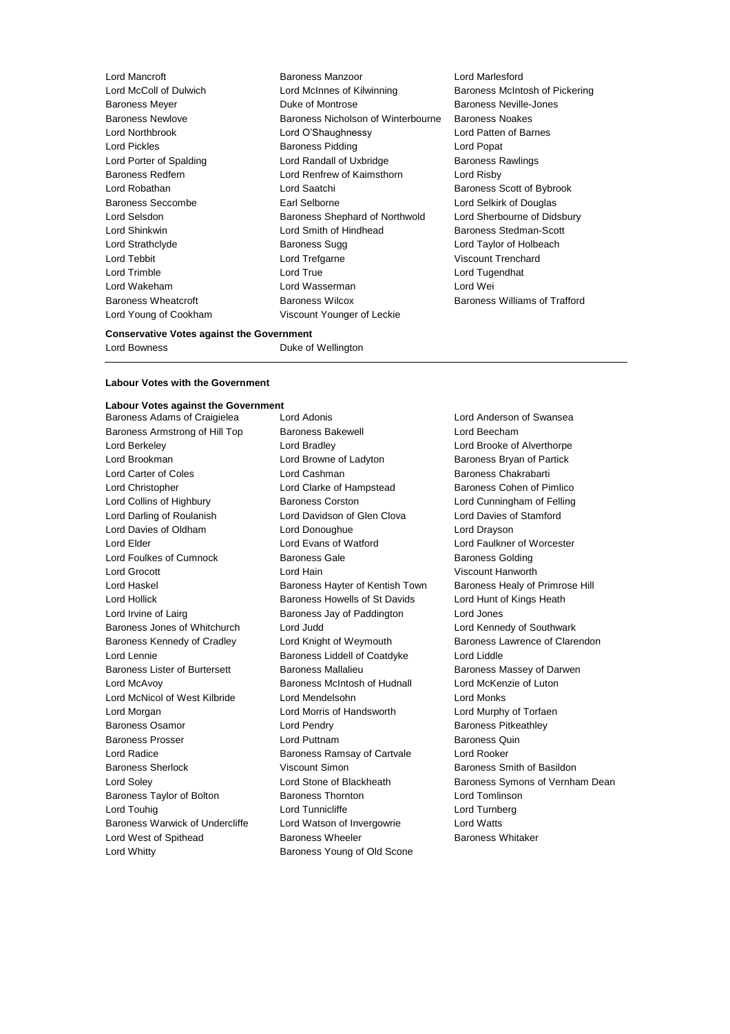Lord McColl of Dulwich **Lord McInnes of Kilwinning** Baroness McIntosh of Pickering Baroness Meyer Duke of Montrose Baroness Neville-Jones Baroness Newlove Baroness Nicholson of Winterbourne Baroness Noakes Lord Northbrook Lord O'Shaughnessy Lord Patten of Barnes Lord Pickles **Baroness Pidding Lord Popat** Lord Porter of Spalding **Lord Randall of Uxbridge** Baroness Rawlings Baroness Redfern Lord Renfrew of Kaimsthorn Lord Risby Lord Robathan **Lord Saatchi** Baroness Scott of Bybrook Baroness Seccombe Earl Selborne Lord Selkirk of Douglas Lord Selsdon Baroness Shephard of Northwold Lord Sherbourne of Didsbury Lord Shinkwin Lord Smith of Hindhead Baroness Stedman-Scott Lord Strathclyde **Baroness Sugg Lord Taylor of Holbeach** Baroness Sugg Lord Taylor of Holbeach Lord Tebbit Lord Trefgarne Viscount Trenchard Lord Trimble **Lord True** Lord True Lord Tugendhat Lord Wakeham Lord Wasserman Lord Wei Baroness Wheatcroft Baroness Wilcox Baroness Williams of Trafford Lord Young of Cookham Viscount Younger of Leckie

Lord Mancroft Baroness Manzoor Lord Marlesford

**Conservative Votes against the Government**

Lord Bowness **Duke of Wellington** 

#### **Labour Votes with the Government**

**Labour Votes against the Government**<br>Baroness Adams of Craigielea Lord Adonis

Lord Whitty Baroness Young of Old Scone

Baroness Adams of Craigielea Lord Adonis Lord Anderson of Swansea Baroness Armstrong of Hill Top Baroness Bakewell **Baroness I Lord Beecham** Lord Berkeley Lord Bradley Lord Brooke of Alverthorpe Lord Brookman **Lord Browne of Ladyton** Baroness Bryan of Partick Lord Carter of Coles Lord Cashman Baroness Chakrabarti Lord Christopher Lord Clarke of Hampstead Baroness Cohen of Pimlico Lord Collins of Highbury Baroness Corston Lord Cunningham of Felling Lord Darling of Roulanish Lord Davidson of Glen Clova Lord Davies of Stamford Lord Davies of Oldham Lord Donoughue Lord Drayson Lord Elder Lord Evans of Watford Lord Faulkner of Worcester Lord Foulkes of Cumnock **Baroness Gale** Baroness Gale Baroness Golding Lord Grocott Lord Hain Viscount Hanworth Lord Haskel **Baroness Hayter of Kentish Town** Baroness Healy of Primrose Hill Lord Hollick **Baroness Howells of St Davids** Lord Hunt of Kings Heath Lord Hunt of Kings Heath Lord Irvine of Lairg Baroness Jay of Paddington Lord Jones Baroness Jones of Whitchurch Lord Judd Lord Kennedy of Southwark Baroness Kennedy of Cradley Lord Knight of Weymouth Baroness Lawrence of Clarendon Lord Lennie Baroness Liddell of Coatdyke Lord Liddle Baroness Lister of Burtersett Baroness Mallalieu Baroness Massey of Darwen Lord McAvoy Baroness McIntosh of Hudnall Lord McKenzie of Luton Lord McNicol of West Kilbride Lord Mendelsohn Lord Monks Lord Morgan Lord Morris of Handsworth Lord Murphy of Torfaen Baroness Osamor **Lord Pendry Community** Baroness Pitkeathley Baroness Prosser Lord Puttnam Baroness Quin Lord Radice **Baroness Ramsay of Cartvale** Lord Rooker Baroness Sherlock **Viscount Simon** Baroness Smith of Basildon Baroness Taylor of Bolton **Baroness Thornton** Lord Tomlinson Lord Touhig **Lord Tunnicliffe** Lord Tunnicliffe **Lord Tunnicliffe** Lord Turnberg Baroness Warwick of Undercliffe Lord Watson of Invergowrie Lord Watts Lord West of Spithead **Baroness Wheeler** Baroness Wheeler **Baroness Whitaker** 

Lord Soley **Lord Stone of Blackheath** Baroness Symons of Vernham Dean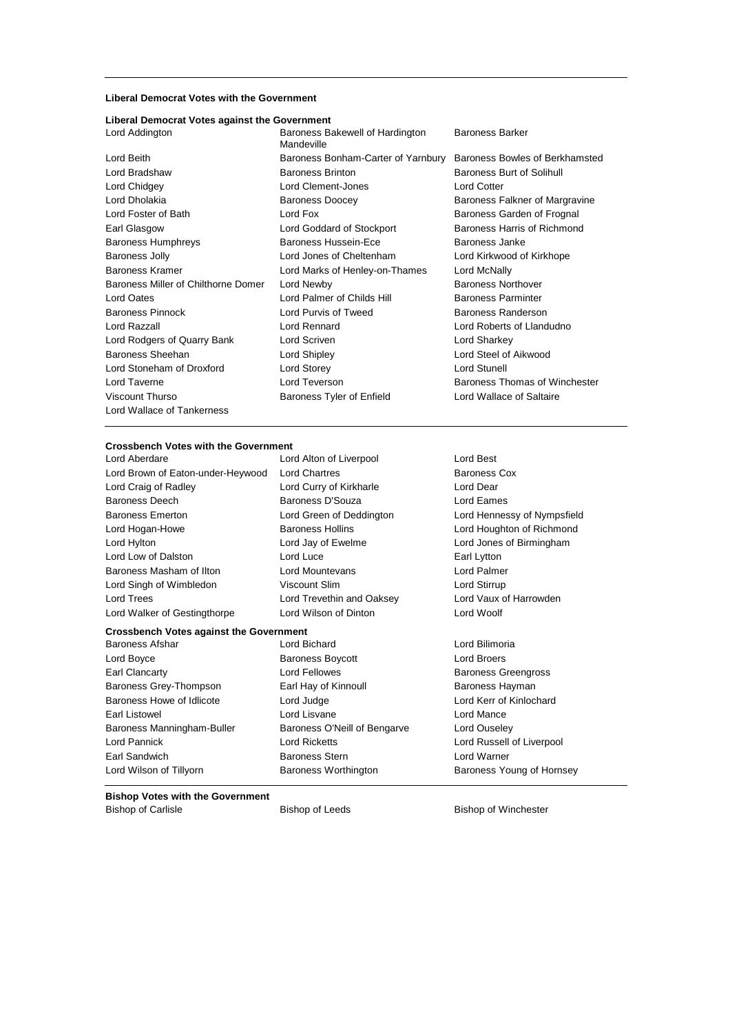#### **Liberal Democrat Votes with the Government**

## **Liberal Democrat Votes against the Government**

| Lord Beith                          |
|-------------------------------------|
| Lord Bradshaw                       |
| Lord Chidgey                        |
| Lord Dholakia                       |
| Lord Foster of Bath                 |
| Earl Glasgow                        |
| <b>Baroness Humphreys</b>           |
| <b>Baroness Jolly</b>               |
| <b>Baroness Kramer</b>              |
| Baroness Miller of Chilthorne Domer |
| <b>Lord Oates</b>                   |
| <b>Baroness Pinnock</b>             |
| Lord Razzall                        |
| Lord Rodgers of Quarry Bank         |
| <b>Baroness Sheehan</b>             |
| Lord Stoneham of Droxford           |
| Lord Taverne                        |
| Viscount Thurso                     |
| Lord Wallace of Tankerness          |

Baroness Bakewell of Hardington Mandeville Baroness Brinton Baroness Burt of Solihull Lord Clement-Jones Lord Cotter Baroness Doocey **Baroness Falkner of Margravine** Lord Fox Baroness Garden of Frognal Lord Goddard of Stockport Baroness Harris of Richmond Baroness Hussein-Ece Baroness Janke Lord Jones of Cheltenham Lord Kirkwood of Kirkhope Lord Marks of Henley-on-Thames Lord McNally Lord Newby **Baroness Northover** Lord Palmer of Childs Hill Baroness Parminter Lord Purvis of Tweed Baroness Randerson Lord Rennard **Lord Roberts of Llandudno** Lord Scriven **Lord Sharkey** Lord Shipley **Lord Steel of Aikwood** Lord Storey **Lord Stunell** Lord Teverson **Exercise 2** Exercise Baroness Thomas of Winchester Baroness Tyler of Enfield Lord Wallace of Saltaire

#### Baroness Barker

Baroness Bonham-Carter of Yarnbury Baroness Bowles of Berkhamsted

#### **Crossbench Votes with the Government**

Lord Aberdare Lord Alton of Liverpool Lord Best Lord Brown of Eaton-under-Heywood Lord Chartres **Baroness Cox** Lord Craig of Radley **Lord Curry of Kirkharle** Lord Dear Baroness Deech Baroness D'Souza Lord Eames Baroness Emerton Lord Green of Deddington Lord Hennessy of Nympsfield Lord Hogan-Howe Baroness Hollins Lord Houghton of Richmond Lord Hylton Lord Jay of Ewelme Lord Jones of Birmingham Lord Low of Dalston **Lord Luce Lord Luce Earl Lytton** Baroness Masham of Ilton **Lord Mountevans Lord Palmer** Lord Singh of Wimbledon Viscount Slim Lord Stirrup Lord Trees Lord Trevethin and Oaksey Lord Vaux of Harrowden

Lord Walker of Gestingthorpe Lord Wilson of Dinton Lord Woolf

#### **Crossbench Votes against the Government**

Lord Boyce **Baroness Boycott Lord Broers Lord Broers** Earl Clancarty Lord Fellowes Baroness Greengross Baroness Grey-Thompson Earl Hay of Kinnoull Baroness Hayman Baroness Howe of Idlicote Lord Judge Lord Kerr of Kinlochard Earl Listowel **Lord Listowel** Lord Lisvane **Lord Listowel** Lord Mance Baroness Manningham-Buller Baroness O'Neill of Bengarve Lord Ouseley Lord Pannick Lord Ricketts Lord Russell of Liverpool Earl Sandwich Baroness Stern Lord Warner

Baroness Afshar Lord Bichard Lord Bilimoria

Lord Wilson of Tillyorn **Baroness Worthington** Baroness Young of Hornsey

#### **Bishop Votes with the Government**

Bishop of Carlisle **Bishop of Leeds** Bishop of Winchester